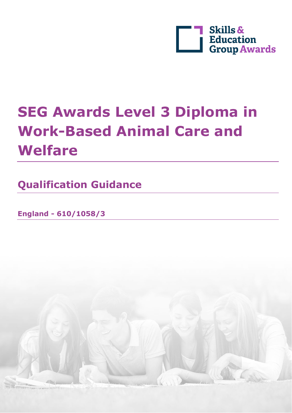

# **SEG Awards Level 3 Diploma in Work-Based Animal Care and Welfare**

**Qualification Guidance**

**England - 610/1058/3**

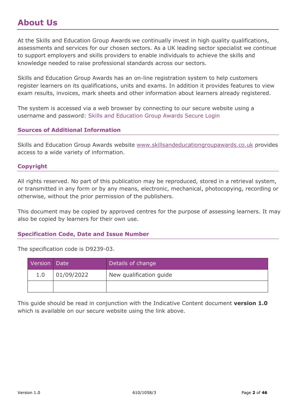#### <span id="page-1-0"></span>**About Us**

At the Skills and Education Group Awards we continually invest in high quality qualifications, assessments and services for our chosen sectors. As a UK leading sector specialist we continue to support employers and skills providers to enable individuals to achieve the skills and knowledge needed to raise professional standards across our sectors.

Skills and Education Group Awards has an on-line registration system to help customers register learners on its qualifications, units and exams. In addition it provides features to view exam results, invoices, mark sheets and other information about learners already registered.

The system is accessed via a web browser by connecting to our secure website using a username and password: [Skills and Education Group Awards Secure Login](https://ors.skillsandeducationgroupawards.co.uk/)

#### **Sources of Additional Information**

Skills and Education Group Awards website www.skillsandeducationgroupawards.co.uk provides access to a wide variety of information.

#### **Copyright**

All rights reserved. No part of this publication may be reproduced, stored in a retrieval system, or transmitted in any form or by any means, electronic, mechanical, photocopying, recording or otherwise, without the prior permission of the publishers.

This document may be copied by approved centres for the purpose of assessing learners. It may also be copied by learners for their own use.

#### **Specification Code, Date and Issue Number**

The specification code is D9239-03.

| Version Date |            | Details of change       |  |
|--------------|------------|-------------------------|--|
| 1.0          | 01/09/2022 | New qualification guide |  |
|              |            |                         |  |

This guide should be read in conjunction with the Indicative Content document **version 1.0** which is available on our secure website using the link above.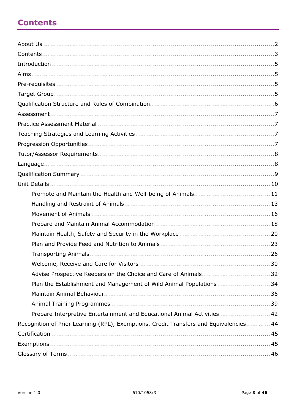### <span id="page-2-0"></span>**Contents**

| Advise Prospective Keepers on the Choice and Care of Animals 32                        |
|----------------------------------------------------------------------------------------|
| Plan the Establishment and Management of Wild Animal Populations  34                   |
|                                                                                        |
|                                                                                        |
| Prepare Interpretive Entertainment and Educational Animal Activities  42               |
| Recognition of Prior Learning (RPL), Exemptions, Credit Transfers and Equivalencies 44 |
|                                                                                        |
|                                                                                        |
|                                                                                        |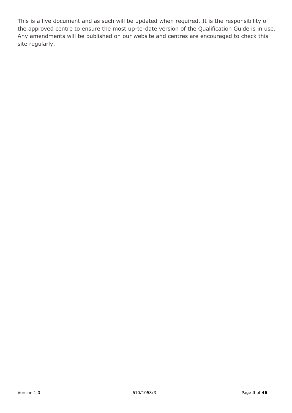This is a live document and as such will be updated when required. It is the responsibility of the approved centre to ensure the most up-to-date version of the Qualification Guide is in use. Any amendments will be published on our website and centres are encouraged to check this site regularly.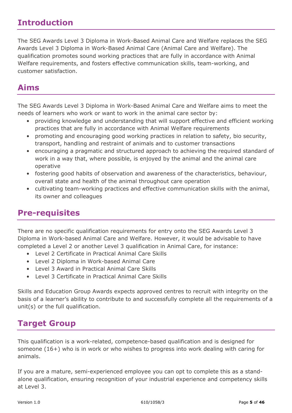#### <span id="page-4-0"></span>**Introduction**

The SEG Awards Level 3 Diploma in Work-Based Animal Care and Welfare replaces the SEG Awards Level 3 Diploma in Work-Based Animal Care (Animal Care and Welfare). The qualification promotes sound working practices that are fully in accordance with Animal Welfare requirements, and fosters effective communication skills, team-working, and customer satisfaction.

## <span id="page-4-1"></span>**Aims**

The SEG Awards Level 3 Diploma in Work-Based Animal Care and Welfare aims to meet the needs of learners who work or want to work in the animal care sector by:

- providing knowledge and understanding that will support effective and efficient working practices that are fully in accordance with Animal Welfare requirements
- promoting and encouraging good working practices in relation to safety, bio security, transport, handling and restraint of animals and to customer transactions
- encouraging a pragmatic and structured approach to achieving the required standard of work in a way that, where possible, is enjoyed by the animal and the animal care operative
- fostering good habits of observation and awareness of the characteristics, behaviour, overall state and health of the animal throughout care operation
- cultivating team-working practices and effective communication skills with the animal, its owner and colleagues

## <span id="page-4-2"></span>**Pre-requisites**

There are no specific qualification requirements for entry onto the SEG Awards Level 3 Diploma in Work-based Animal Care and Welfare. However, it would be advisable to have completed a Level 2 or another Level 3 qualification in Animal Care, for instance:

- Level 2 Certificate in Practical Animal Care Skills
- Level 2 Diploma in Work-based Animal Care
- Level 3 Award in Practical Animal Care Skills
- Level 3 Certificate in Practical Animal Care Skills

Skills and Education Group Awards expects approved centres to recruit with integrity on the basis of a learner's ability to contribute to and successfully complete all the requirements of a unit(s) or the full qualification.

#### <span id="page-4-3"></span>**Target Group**

This qualification is a work-related, competence-based qualification and is designed for someone (16+) who is in work or who wishes to progress into work dealing with caring for animals.

If you are a mature, semi-experienced employee you can opt to complete this as a standalone qualification, ensuring recognition of your industrial experience and competency skills at Level 3.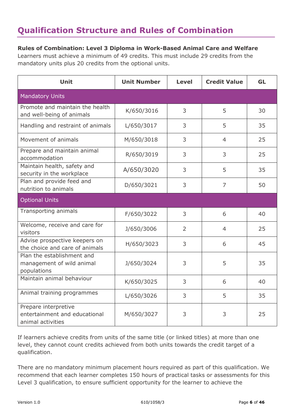### <span id="page-5-0"></span>**Qualification Structure and Rules of Combination**

#### **Rules of Combination: Level 3 Diploma in Work-Based Animal Care and Welfare**

Learners must achieve a minimum of 49 credits. This must include 29 credits from the mandatory units plus 20 credits from the optional units.

| <b>Unit</b>                                                                | <b>Unit Number</b> | <b>Level</b>   | <b>Credit Value</b> | <b>GL</b> |
|----------------------------------------------------------------------------|--------------------|----------------|---------------------|-----------|
| <b>Mandatory Units</b>                                                     |                    |                |                     |           |
| Promote and maintain the health<br>and well-being of animals               | K/650/3016         | 3              | 5                   | 30        |
| Handling and restraint of animals                                          | L/650/3017         | 3              | 5                   | 35        |
| Movement of animals                                                        | M/650/3018         | 3              | $\overline{4}$      | 25        |
| Prepare and maintain animal<br>accommodation                               | R/650/3019         | 3              | 3                   | 25        |
| Maintain health, safety and<br>security in the workplace                   | A/650/3020         | 3              | 5                   | 35        |
| Plan and provide feed and<br>nutrition to animals                          | D/650/3021         | 3              | $\overline{7}$      | 50        |
| <b>Optional Units</b>                                                      |                    |                |                     |           |
| <b>Transporting animals</b>                                                | F/650/3022         | 3              | 6                   | 40        |
| Welcome, receive and care for<br>visitors                                  | J/650/3006         | $\overline{2}$ | $\overline{4}$      | 25        |
| Advise prospective keepers on<br>the choice and care of animals            | H/650/3023         | 3              | 6                   | 45        |
| Plan the establishment and<br>management of wild animal<br>populations     | J/650/3024         | 3              | 5                   | 35        |
| Maintain animal behaviour                                                  | K/650/3025         | 3              | 6                   | 40        |
| Animal training programmes                                                 | L/650/3026         | 3              | 5                   | 35        |
| Prepare interpretive<br>entertainment and educational<br>animal activities | M/650/3027         | 3              | 3                   | 25        |

If learners achieve credits from units of the same title (or linked titles) at more than one level, they cannot count credits achieved from both units towards the credit target of a qualification.

There are no mandatory minimum placement hours required as part of this qualification. We recommend that each learner completes 150 hours of practical tasks or assessments for this Level 3 qualification, to ensure sufficient opportunity for the learner to achieve the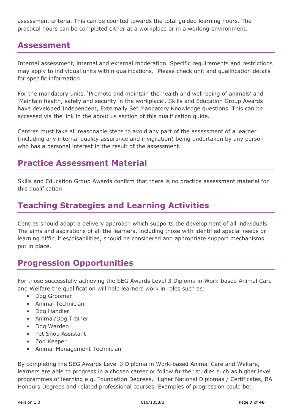assessment criteria. This can be counted towards the total guided learning hours. The practical hours can be completed either at a workplace or in a working environment.

### <span id="page-6-0"></span>**Assessment**

Internal assessment, internal and external moderation. Specific requirements and restrictions may apply to individual units within qualifications. Please check unit and qualification details for specific information.

For the mandatory units, 'Promote and maintain the health and well-being of animals' and 'Maintain health, safety and security in the workplace', Skills and Education Group Awards have developed Independent, Externally Set Mandatory Knowledge questions. This can be accessed via the link in the about us section of this qualification guide.

Centres must take all reasonable steps to avoid any part of the assessment of a learner (including any internal quality assurance and invigilation) being undertaken by any person who has a personal interest in the result of the assessment.

## <span id="page-6-1"></span>**Practice Assessment Material**

Skills and Education Group Awards confirm that there is no practice assessment material for this qualification.

#### <span id="page-6-2"></span>**Teaching Strategies and Learning Activities**

Centres should adopt a delivery approach which supports the development of all individuals. The aims and aspirations of all the learners, including those with identified special needs or learning difficulties/disabilities, should be considered and appropriate support mechanisms put in place.

## <span id="page-6-3"></span>**Progression Opportunities**

For those successfully achieving the SEG Awards Level 3 Diploma in Work-based Animal Care and Welfare the qualification will help learners work in roles such as:

- Dog Groomer
- Animal Technician
- Dog Handler
- Animal/Dog Trainer
- Dog Warden
- Pet Shop Assistant
- Zoo Keeper
- Animal Management Technician

By completing the SEG Awards Level 3 Diploma in Work-based Animal Care and Welfare, learners are able to progress in a chosen career or follow further studies such as higher level programmes of learning e.g. Foundation Degrees, Higher National Diplomas / Certificates, BA Honours Degrees and related professional courses. Examples of progression could be: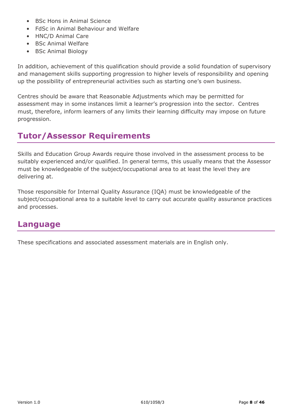- BSc Hons in Animal Science
- FdSc in Animal Behaviour and Welfare
- HNC/D Animal Care
- BSc Animal Welfare
- BSc Animal Biology

In addition, achievement of this qualification should provide a solid foundation of supervisory and management skills supporting progression to higher levels of responsibility and opening up the possibility of entrepreneurial activities such as starting one's own business.

Centres should be aware that Reasonable Adjustments which may be permitted for assessment may in some instances limit a learner's progression into the sector. Centres must, therefore, inform learners of any limits their learning difficulty may impose on future progression.

#### <span id="page-7-0"></span>**Tutor/Assessor Requirements**

Skills and Education Group Awards require those involved in the assessment process to be suitably experienced and/or qualified. In general terms, this usually means that the Assessor must be knowledgeable of the subject/occupational area to at least the level they are delivering at.

Those responsible for Internal Quality Assurance (IQA) must be knowledgeable of the subject/occupational area to a suitable level to carry out accurate quality assurance practices and processes.

#### <span id="page-7-1"></span>**Language**

These specifications and associated assessment materials are in English only.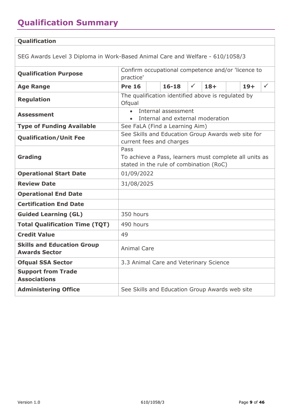# <span id="page-8-0"></span>**Qualification Summary**

#### **Qualification**

SEG Awards Level 3 Diploma in Work-Based Animal Care and Welfare - 610/1058/3

| <b>Qualification Purpose</b>                              | Confirm occupational competence and/or 'licence to<br>practice'                                           |                                                |              |       |  |       |              |
|-----------------------------------------------------------|-----------------------------------------------------------------------------------------------------------|------------------------------------------------|--------------|-------|--|-------|--------------|
| <b>Age Range</b>                                          | <b>Pre 16</b>                                                                                             | $16 - 18$                                      | $\checkmark$ | $18+$ |  | $19+$ | $\checkmark$ |
| <b>Regulation</b>                                         | The qualification identified above is regulated by<br>Ofqual                                              |                                                |              |       |  |       |              |
| <b>Assessment</b>                                         | Internal assessment<br>Internal and external moderation                                                   |                                                |              |       |  |       |              |
| <b>Type of Funding Available</b>                          |                                                                                                           | See FaLA (Find a Learning Aim)                 |              |       |  |       |              |
| <b>Qualification/Unit Fee</b>                             | See Skills and Education Group Awards web site for<br>current fees and charges                            |                                                |              |       |  |       |              |
| Grading                                                   | Pass<br>To achieve a Pass, learners must complete all units as<br>stated in the rule of combination (RoC) |                                                |              |       |  |       |              |
| <b>Operational Start Date</b>                             | 01/09/2022                                                                                                |                                                |              |       |  |       |              |
| <b>Review Date</b>                                        | 31/08/2025                                                                                                |                                                |              |       |  |       |              |
| <b>Operational End Date</b>                               |                                                                                                           |                                                |              |       |  |       |              |
| <b>Certification End Date</b>                             |                                                                                                           |                                                |              |       |  |       |              |
| <b>Guided Learning (GL)</b>                               | 350 hours                                                                                                 |                                                |              |       |  |       |              |
| <b>Total Qualification Time (TQT)</b>                     | 490 hours                                                                                                 |                                                |              |       |  |       |              |
| <b>Credit Value</b>                                       | 49                                                                                                        |                                                |              |       |  |       |              |
| <b>Skills and Education Group</b><br><b>Awards Sector</b> | <b>Animal Care</b>                                                                                        |                                                |              |       |  |       |              |
| <b>Ofqual SSA Sector</b>                                  | 3.3 Animal Care and Veterinary Science                                                                    |                                                |              |       |  |       |              |
| <b>Support from Trade</b><br><b>Associations</b>          |                                                                                                           |                                                |              |       |  |       |              |
| <b>Administering Office</b>                               |                                                                                                           | See Skills and Education Group Awards web site |              |       |  |       |              |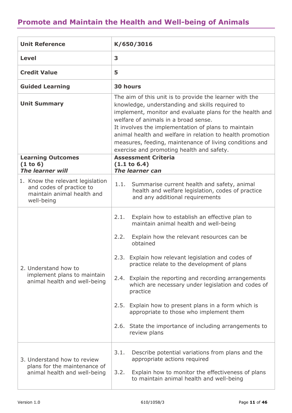### <span id="page-10-0"></span>**Promote and Maintain the Health and Well-being of Animals**

| <b>Unit Reference</b>                                                                                    | K/650/3016                                                                                                                                                                                                                                                                                                                                                                                                                                                                                                                                                                         |  |  |  |
|----------------------------------------------------------------------------------------------------------|------------------------------------------------------------------------------------------------------------------------------------------------------------------------------------------------------------------------------------------------------------------------------------------------------------------------------------------------------------------------------------------------------------------------------------------------------------------------------------------------------------------------------------------------------------------------------------|--|--|--|
| <b>Level</b>                                                                                             | 3                                                                                                                                                                                                                                                                                                                                                                                                                                                                                                                                                                                  |  |  |  |
| <b>Credit Value</b>                                                                                      | 5                                                                                                                                                                                                                                                                                                                                                                                                                                                                                                                                                                                  |  |  |  |
| <b>Guided Learning</b>                                                                                   | <b>30 hours</b>                                                                                                                                                                                                                                                                                                                                                                                                                                                                                                                                                                    |  |  |  |
| <b>Unit Summary</b>                                                                                      | The aim of this unit is to provide the learner with the<br>knowledge, understanding and skills required to<br>implement, monitor and evaluate plans for the health and<br>welfare of animals in a broad sense.<br>It involves the implementation of plans to maintain<br>animal health and welfare in relation to health promotion<br>measures, feeding, maintenance of living conditions and<br>exercise and promoting health and safety.                                                                                                                                         |  |  |  |
| <b>Learning Outcomes</b><br>(1 to 6)<br><b>The learner will</b>                                          | <b>Assessment Criteria</b><br>(1.1 to 6.4)<br>The learner can                                                                                                                                                                                                                                                                                                                                                                                                                                                                                                                      |  |  |  |
| 1. Know the relevant legislation<br>and codes of practice to<br>maintain animal health and<br>well-being | 1.1. Summarise current health and safety, animal<br>health and welfare legislation, codes of practice<br>and any additional requirements                                                                                                                                                                                                                                                                                                                                                                                                                                           |  |  |  |
| 2. Understand how to<br>implement plans to maintain<br>animal health and well-being                      | 2.1.<br>Explain how to establish an effective plan to<br>maintain animal health and well-being<br>Explain how the relevant resources can be<br>2.2.<br>obtained<br>2.3. Explain how relevant legislation and codes of<br>practice relate to the development of plans<br>Explain the reporting and recording arrangements<br>2.4.<br>which are necessary under legislation and codes of<br>practice<br>Explain how to present plans in a form which is<br>2.5.<br>appropriate to those who implement them<br>2.6. State the importance of including arrangements to<br>review plans |  |  |  |
| 3. Understand how to review<br>plans for the maintenance of<br>animal health and well-being              | 3.1.<br>Describe potential variations from plans and the<br>appropriate actions required<br>Explain how to monitor the effectiveness of plans<br>3.2.<br>to maintain animal health and well-being                                                                                                                                                                                                                                                                                                                                                                                  |  |  |  |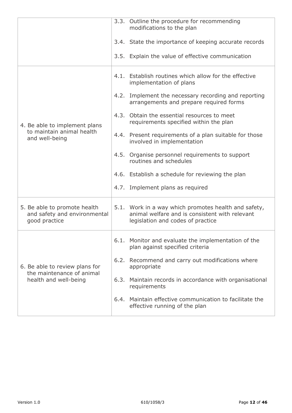|                                                                               | 3.3. Outline the procedure for recommending<br>modifications to the plan                                                                    |
|-------------------------------------------------------------------------------|---------------------------------------------------------------------------------------------------------------------------------------------|
|                                                                               | 3.4. State the importance of keeping accurate records                                                                                       |
|                                                                               | 3.5. Explain the value of effective communication                                                                                           |
|                                                                               | 4.1. Establish routines which allow for the effective<br>implementation of plans                                                            |
|                                                                               | 4.2. Implement the necessary recording and reporting<br>arrangements and prepare required forms                                             |
| 4. Be able to implement plans                                                 | 4.3. Obtain the essential resources to meet<br>requirements specified within the plan                                                       |
| to maintain animal health<br>and well-being                                   | 4.4. Present requirements of a plan suitable for those<br>involved in implementation                                                        |
|                                                                               | 4.5. Organise personnel requirements to support<br>routines and schedules                                                                   |
|                                                                               | 4.6. Establish a schedule for reviewing the plan                                                                                            |
|                                                                               | 4.7. Implement plans as required                                                                                                            |
| 5. Be able to promote health<br>and safety and environmental<br>good practice | 5.1. Work in a way which promotes health and safety,<br>animal welfare and is consistent with relevant<br>legislation and codes of practice |
|                                                                               | 6.1. Monitor and evaluate the implementation of the<br>plan against specified criteria                                                      |
| 6. Be able to review plans for<br>the maintenance of animal                   | 6.2. Recommend and carry out modifications where<br>appropriate                                                                             |
| health and well-being                                                         | 6.3. Maintain records in accordance with organisational<br>requirements                                                                     |
|                                                                               | 6.4. Maintain effective communication to facilitate the<br>effective running of the plan                                                    |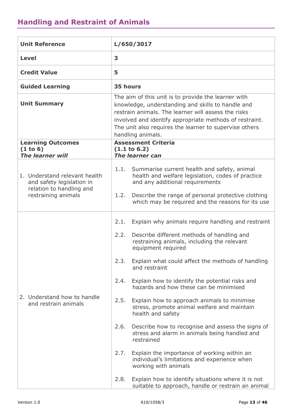<span id="page-12-0"></span>

| <b>Unit Reference</b>                                                                                         | L/650/3017                                                                                                                                                                                                                                                                                                                                                                                                                                                                                                                                                                                                                                                                                                                                                                                                                   |  |  |  |
|---------------------------------------------------------------------------------------------------------------|------------------------------------------------------------------------------------------------------------------------------------------------------------------------------------------------------------------------------------------------------------------------------------------------------------------------------------------------------------------------------------------------------------------------------------------------------------------------------------------------------------------------------------------------------------------------------------------------------------------------------------------------------------------------------------------------------------------------------------------------------------------------------------------------------------------------------|--|--|--|
| Level                                                                                                         | 3                                                                                                                                                                                                                                                                                                                                                                                                                                                                                                                                                                                                                                                                                                                                                                                                                            |  |  |  |
| <b>Credit Value</b>                                                                                           | 5                                                                                                                                                                                                                                                                                                                                                                                                                                                                                                                                                                                                                                                                                                                                                                                                                            |  |  |  |
| <b>Guided Learning</b>                                                                                        | 35 hours                                                                                                                                                                                                                                                                                                                                                                                                                                                                                                                                                                                                                                                                                                                                                                                                                     |  |  |  |
| <b>Unit Summary</b>                                                                                           | The aim of this unit is to provide the learner with<br>knowledge, understanding and skills to handle and<br>restrain animals. The learner will assess the risks<br>involved and identify appropriate methods of restraint.<br>The unit also requires the learner to supervise others<br>handling animals.                                                                                                                                                                                                                                                                                                                                                                                                                                                                                                                    |  |  |  |
| <b>Learning Outcomes</b><br>(1 to 6)<br><b>The learner will</b>                                               | <b>Assessment Criteria</b><br>$(1.1 \text{ to } 6.2)$<br><b>The learner can</b>                                                                                                                                                                                                                                                                                                                                                                                                                                                                                                                                                                                                                                                                                                                                              |  |  |  |
| 1. Understand relevant health<br>and safety legislation in<br>relation to handling and<br>restraining animals | 1.1. Summarise current health and safety, animal<br>health and welfare legislation, codes of practice<br>and any additional requirements<br>Describe the range of personal protective clothing<br>1.2.<br>which may be required and the reasons for its use                                                                                                                                                                                                                                                                                                                                                                                                                                                                                                                                                                  |  |  |  |
| 2. Understand how to handle<br>and restrain animals                                                           | 2.1.<br>Explain why animals require handling and restraint<br>2.2.<br>Describe different methods of handling and<br>restraining animals, including the relevant<br>equipment required<br>Explain what could affect the methods of handling<br>2.3.<br>and restraint<br>Explain how to identify the potential risks and<br>2.4.<br>hazards and how these can be minimised<br>2.5.<br>Explain how to approach animals to minimise<br>stress, promote animal welfare and maintain<br>health and safety<br>2.6.<br>Describe how to recognise and assess the signs of<br>stress and alarm in animals being handled and<br>restrained<br>2.7.<br>Explain the importance of working within an<br>individual's limitations and experience when<br>working with animals<br>2.8.<br>Explain how to identify situations where it is not |  |  |  |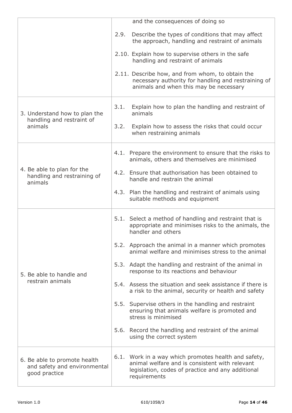|                                                                               |      | and the consequences of doing so                                                                                                                                            |
|-------------------------------------------------------------------------------|------|-----------------------------------------------------------------------------------------------------------------------------------------------------------------------------|
|                                                                               | 2.9. | Describe the types of conditions that may affect<br>the approach, handling and restraint of animals                                                                         |
|                                                                               |      | 2.10. Explain how to supervise others in the safe<br>handling and restraint of animals                                                                                      |
|                                                                               |      | 2.11. Describe how, and from whom, to obtain the<br>necessary authority for handling and restraining of<br>animals and when this may be necessary                           |
| 3. Understand how to plan the                                                 | 3.1. | Explain how to plan the handling and restraint of<br>animals                                                                                                                |
| handling and restraint of<br>animals                                          | 3.2. | Explain how to assess the risks that could occur<br>when restraining animals                                                                                                |
|                                                                               |      | 4.1. Prepare the environment to ensure that the risks to<br>animals, others and themselves are minimised                                                                    |
| 4. Be able to plan for the<br>handling and restraining of<br>animals          |      | 4.2. Ensure that authorisation has been obtained to<br>handle and restrain the animal                                                                                       |
|                                                                               |      | 4.3. Plan the handling and restraint of animals using<br>suitable methods and equipment                                                                                     |
|                                                                               |      | 5.1. Select a method of handling and restraint that is<br>appropriate and minimises risks to the animals, the<br>handler and others                                         |
|                                                                               |      | 5.2. Approach the animal in a manner which promotes<br>animal welfare and minimises stress to the animal                                                                    |
| 5. Be able to handle and                                                      |      | 5.3. Adapt the handling and restraint of the animal in<br>response to its reactions and behaviour                                                                           |
| restrain animals                                                              |      | 5.4. Assess the situation and seek assistance if there is<br>a risk to the animal, security or health and safety                                                            |
|                                                                               |      | 5.5. Supervise others in the handling and restraint<br>ensuring that animals welfare is promoted and<br>stress is minimised                                                 |
|                                                                               |      | 5.6. Record the handling and restraint of the animal<br>using the correct system                                                                                            |
| 6. Be able to promote health<br>and safety and environmental<br>good practice |      | 6.1. Work in a way which promotes health and safety,<br>animal welfare and is consistent with relevant<br>legislation, codes of practice and any additional<br>requirements |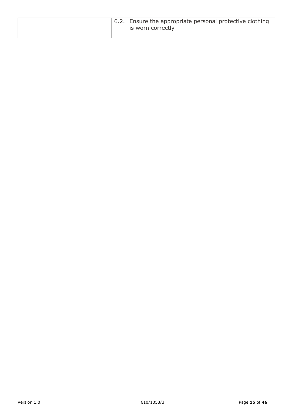|  | $\pm$ 6.2. Ensure the appropriate personal protective clothing<br>is worn correctly |
|--|-------------------------------------------------------------------------------------|
|--|-------------------------------------------------------------------------------------|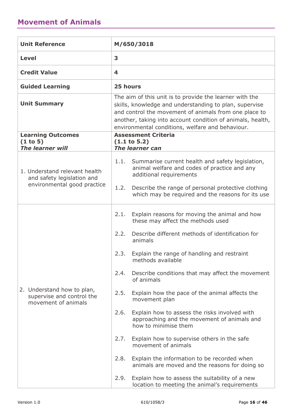<span id="page-15-0"></span>

| <b>Unit Reference</b>                                                                      | M/650/3018                                                                                                                                                                                                                                                                                   |  |  |  |
|--------------------------------------------------------------------------------------------|----------------------------------------------------------------------------------------------------------------------------------------------------------------------------------------------------------------------------------------------------------------------------------------------|--|--|--|
| <b>Level</b>                                                                               | 3                                                                                                                                                                                                                                                                                            |  |  |  |
| <b>Credit Value</b>                                                                        | 4                                                                                                                                                                                                                                                                                            |  |  |  |
| <b>Guided Learning</b>                                                                     | 25 hours                                                                                                                                                                                                                                                                                     |  |  |  |
| <b>Unit Summary</b>                                                                        | The aim of this unit is to provide the learner with the<br>skills, knowledge and understanding to plan, supervise<br>and control the movement of animals from one place to<br>another, taking into account condition of animals, health,<br>environmental conditions, welfare and behaviour. |  |  |  |
| <b>Learning Outcomes</b><br>(1 to 5)<br><b>The learner will</b>                            | <b>Assessment Criteria</b><br>$(1.1 \text{ to } 5.2)$<br>The learner can                                                                                                                                                                                                                     |  |  |  |
| 1. Understand relevant health<br>and safety legislation and<br>environmental good practice | 1.1.<br>Summarise current health and safety legislation,<br>animal welfare and codes of practice and any<br>additional requirements<br>1.2.<br>Describe the range of personal protective clothing<br>which may be required and the reasons for its use                                       |  |  |  |
|                                                                                            | Explain reasons for moving the animal and how<br>2.1.<br>these may affect the methods used<br>Describe different methods of identification for<br>2.2.                                                                                                                                       |  |  |  |
|                                                                                            | animals<br>Explain the range of handling and restraint<br>2.3.                                                                                                                                                                                                                               |  |  |  |
|                                                                                            | methods available<br>Describe conditions that may affect the movement<br>2.4.<br>of animals                                                                                                                                                                                                  |  |  |  |
| 2. Understand how to plan,<br>supervise and control the<br>movement of animals             | Explain how the pace of the animal affects the<br>2.5.<br>movement plan                                                                                                                                                                                                                      |  |  |  |
|                                                                                            | 2.6.<br>Explain how to assess the risks involved with<br>approaching and the movement of animals and<br>how to minimise them                                                                                                                                                                 |  |  |  |
|                                                                                            | Explain how to supervise others in the safe<br>2.7.<br>movement of animals                                                                                                                                                                                                                   |  |  |  |
|                                                                                            | 2.8.<br>Explain the information to be recorded when<br>animals are moved and the reasons for doing so                                                                                                                                                                                        |  |  |  |
|                                                                                            | Explain how to assess the suitability of a new<br>2.9.<br>location to meeting the animal's requirements                                                                                                                                                                                      |  |  |  |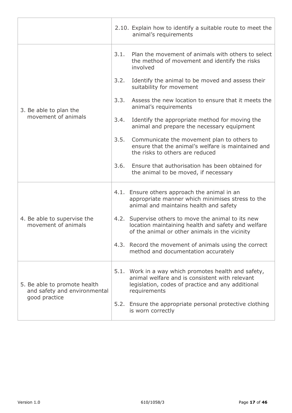|                                                              |      | 2.10. Explain how to identify a suitable route to meet the<br>animal's requirements                                                                                         |
|--------------------------------------------------------------|------|-----------------------------------------------------------------------------------------------------------------------------------------------------------------------------|
|                                                              | 3.1. | Plan the movement of animals with others to select<br>the method of movement and identify the risks<br>involved                                                             |
|                                                              | 3.2. | Identify the animal to be moved and assess their<br>suitability for movement                                                                                                |
| 3. Be able to plan the                                       | 3.3. | Assess the new location to ensure that it meets the<br>animal's requirements                                                                                                |
| movement of animals                                          | 3.4. | Identify the appropriate method for moving the<br>animal and prepare the necessary equipment                                                                                |
|                                                              | 3.5. | Communicate the movement plan to others to<br>ensure that the animal's welfare is maintained and<br>the risks to others are reduced                                         |
|                                                              | 3.6. | Ensure that authorisation has been obtained for<br>the animal to be moved, if necessary                                                                                     |
|                                                              |      | 4.1. Ensure others approach the animal in an<br>appropriate manner which minimises stress to the<br>animal and maintains health and safety                                  |
| 4. Be able to supervise the<br>movement of animals           |      | 4.2. Supervise others to move the animal to its new<br>location maintaining health and safety and welfare<br>of the animal or other animals in the vicinity                 |
|                                                              |      | 4.3. Record the movement of animals using the correct<br>method and documentation accurately                                                                                |
| 5. Be able to promote health<br>and safety and environmental |      | 5.1. Work in a way which promotes health and safety,<br>animal welfare and is consistent with relevant<br>legislation, codes of practice and any additional<br>requirements |
| good practice                                                |      | 5.2. Ensure the appropriate personal protective clothing<br>is worn correctly                                                                                               |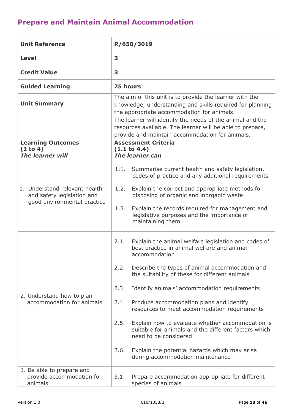# <span id="page-17-0"></span>**Prepare and Maintain Animal Accommodation**

| <b>Unit Reference</b>                                                                      | R/650/3019                                                                                                                                                                                                                                                                                                                                                                                                                                                                                                                                                                                                                                   |  |  |  |
|--------------------------------------------------------------------------------------------|----------------------------------------------------------------------------------------------------------------------------------------------------------------------------------------------------------------------------------------------------------------------------------------------------------------------------------------------------------------------------------------------------------------------------------------------------------------------------------------------------------------------------------------------------------------------------------------------------------------------------------------------|--|--|--|
| <b>Level</b>                                                                               | 3                                                                                                                                                                                                                                                                                                                                                                                                                                                                                                                                                                                                                                            |  |  |  |
| <b>Credit Value</b>                                                                        | 3                                                                                                                                                                                                                                                                                                                                                                                                                                                                                                                                                                                                                                            |  |  |  |
| <b>Guided Learning</b>                                                                     | 25 hours                                                                                                                                                                                                                                                                                                                                                                                                                                                                                                                                                                                                                                     |  |  |  |
| <b>Unit Summary</b>                                                                        | The aim of this unit is to provide the learner with the<br>knowledge, understanding and skills required for planning<br>the appropriate accommodation for animals.<br>The learner will identify the needs of the animal and the<br>resources available. The learner will be able to prepare,<br>provide and maintain accommodation for animals.                                                                                                                                                                                                                                                                                              |  |  |  |
| <b>Learning Outcomes</b><br>(1 to 4)<br><b>The learner will</b>                            | <b>Assessment Criteria</b><br>(1.1 to 4.4)<br><b>The learner can</b>                                                                                                                                                                                                                                                                                                                                                                                                                                                                                                                                                                         |  |  |  |
| 1. Understand relevant health<br>and safety legislation and<br>good environmental practice | Summarise current health and safety legislation,<br>1.1.<br>codes of practice and any additional requirements<br>Explain the correct and appropriate methods for<br>1.2.<br>disposing of organic and inorganic waste<br>Explain the records required for management and<br>1.3.<br>legislative purposes and the importance of<br>maintaining them                                                                                                                                                                                                                                                                                            |  |  |  |
| 2. Understand how to plan<br>accommodation for animals                                     | Explain the animal welfare legislation and codes of<br>2.1.<br>best practice in animal welfare and animal<br>accommodation<br>2.2.<br>Describe the types of animal accommodation and<br>the suitability of these for different animals<br>2.3.<br>Identify animals' accommodation requirements<br>Produce accommodation plans and identify<br>2.4.<br>resources to meet accommodation requirements<br>2.5.<br>Explain how to evaluate whether accommodation is<br>suitable for animals and the different factors which<br>need to be considered<br>2.6.<br>Explain the potential hazards which may arise<br>during accommodation maintenance |  |  |  |
| 3. Be able to prepare and<br>provide accommodation for<br>animals                          | Prepare accommodation appropriate for different<br>3.1.<br>species of animals                                                                                                                                                                                                                                                                                                                                                                                                                                                                                                                                                                |  |  |  |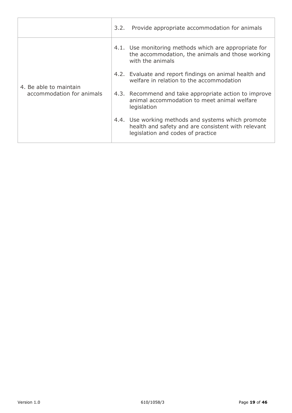|                                                     | 3.2. Provide appropriate accommodation for animals                                                                                            |
|-----------------------------------------------------|-----------------------------------------------------------------------------------------------------------------------------------------------|
| 4. Be able to maintain<br>accommodation for animals | 4.1. Use monitoring methods which are appropriate for<br>the accommodation, the animals and those working<br>with the animals                 |
|                                                     | 4.2. Evaluate and report findings on animal health and<br>welfare in relation to the accommodation                                            |
|                                                     | 4.3. Recommend and take appropriate action to improve<br>animal accommodation to meet animal welfare<br>legislation                           |
|                                                     | 4.4. Use working methods and systems which promote<br>health and safety and are consistent with relevant<br>legislation and codes of practice |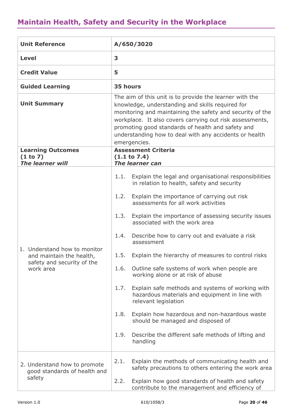# <span id="page-19-0"></span>**Maintain Health, Safety and Security in the Workplace**

| <b>Unit Reference</b>                                                  | A/650/3020                                                                                                                                                                                                                                                                                                                                                          |  |
|------------------------------------------------------------------------|---------------------------------------------------------------------------------------------------------------------------------------------------------------------------------------------------------------------------------------------------------------------------------------------------------------------------------------------------------------------|--|
| <b>Level</b>                                                           | 3                                                                                                                                                                                                                                                                                                                                                                   |  |
| <b>Credit Value</b>                                                    | 5                                                                                                                                                                                                                                                                                                                                                                   |  |
| <b>Guided Learning</b>                                                 | 35 hours                                                                                                                                                                                                                                                                                                                                                            |  |
| <b>Unit Summary</b>                                                    | The aim of this unit is to provide the learner with the<br>knowledge, understanding and skills required for<br>monitoring and maintaining the safety and security of the<br>workplace. It also covers carrying out risk assessments,<br>promoting good standards of health and safety and<br>understanding how to deal with any accidents or health<br>emergencies. |  |
| <b>Learning Outcomes</b><br>(1 to 7)                                   | <b>Assessment Criteria</b><br>(1.1 to 7.4)                                                                                                                                                                                                                                                                                                                          |  |
| <b>The learner will</b>                                                | <b>The learner can</b>                                                                                                                                                                                                                                                                                                                                              |  |
|                                                                        | 1.1. Explain the legal and organisational responsibilities<br>in relation to health, safety and security                                                                                                                                                                                                                                                            |  |
|                                                                        | Explain the importance of carrying out risk<br>1.2.<br>assessments for all work activities                                                                                                                                                                                                                                                                          |  |
|                                                                        | Explain the importance of assessing security issues<br>1.3.<br>associated with the work area                                                                                                                                                                                                                                                                        |  |
| 1. Understand how to monitor                                           | Describe how to carry out and evaluate a risk<br>1.4.<br>assessment                                                                                                                                                                                                                                                                                                 |  |
| and maintain the health,<br>safety and security of the                 | 1.5. Explain the hierarchy of measures to control risks                                                                                                                                                                                                                                                                                                             |  |
| work area                                                              | Outline safe systems of work when people are<br>1.6.<br>working alone or at risk of abuse                                                                                                                                                                                                                                                                           |  |
|                                                                        | Explain safe methods and systems of working with<br>1.7.<br>hazardous materials and equipment in line with<br>relevant legislation                                                                                                                                                                                                                                  |  |
|                                                                        | Explain how hazardous and non-hazardous waste<br>1.8.<br>should be managed and disposed of                                                                                                                                                                                                                                                                          |  |
|                                                                        | 1.9.<br>Describe the different safe methods of lifting and<br>handling                                                                                                                                                                                                                                                                                              |  |
| 2. Understand how to promote<br>good standards of health and<br>safety | Explain the methods of communicating health and<br>2.1.<br>safety precautions to others entering the work area                                                                                                                                                                                                                                                      |  |
|                                                                        | 2.2.<br>Explain how good standards of health and safety<br>contribute to the management and efficiency of                                                                                                                                                                                                                                                           |  |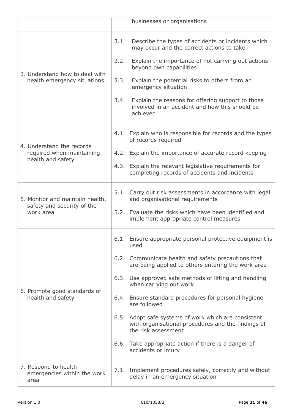|                                                                             |                              | businesses or organisations                                                                                                                                                                                                                                                                                                                                                                                                                                                                                                                                   |
|-----------------------------------------------------------------------------|------------------------------|---------------------------------------------------------------------------------------------------------------------------------------------------------------------------------------------------------------------------------------------------------------------------------------------------------------------------------------------------------------------------------------------------------------------------------------------------------------------------------------------------------------------------------------------------------------|
| 3. Understand how to deal with<br>health emergency situations               | 3.1.<br>3.2.<br>3.3.<br>3.4. | Describe the types of accidents or incidents which<br>may occur and the correct actions to take<br>Explain the importance of not carrying out actions<br>beyond own capabilities<br>Explain the potential risks to others from an<br>emergency situation<br>Explain the reasons for offering support to those<br>involved in an accident and how this should be<br>achieved                                                                                                                                                                                   |
| 4. Understand the records<br>required when maintaining<br>health and safety |                              | 4.1. Explain who is responsible for records and the types<br>of records required<br>4.2. Explain the importance of accurate record keeping<br>4.3. Explain the relevant legislative requirements for<br>completing records of accidents and incidents                                                                                                                                                                                                                                                                                                         |
| 5. Monitor and maintain health,<br>safety and security of the<br>work area  |                              | 5.1. Carry out risk assessments in accordance with legal<br>and organisational requirements<br>5.2. Evaluate the risks which have been identified and<br>implement appropriate control measures                                                                                                                                                                                                                                                                                                                                                               |
| 6. Promote good standards of<br>health and safety                           |                              | 6.1. Ensure appropriate personal protective equipment is<br>used<br>6.2. Communicate health and safety precautions that<br>are being applied to others entering the work area<br>6.3. Use approved safe methods of lifting and handling<br>when carrying out work<br>6.4. Ensure standard procedures for personal hygiene<br>are followed<br>6.5. Adopt safe systems of work which are consistent<br>with organisational procedures and the findings of<br>the risk assessment<br>6.6. Take appropriate action if there is a danger of<br>accidents or injury |
| 7. Respond to health<br>emergencies within the work<br>area                 |                              | 7.1. Implement procedures safely, correctly and without<br>delay in an emergency situation                                                                                                                                                                                                                                                                                                                                                                                                                                                                    |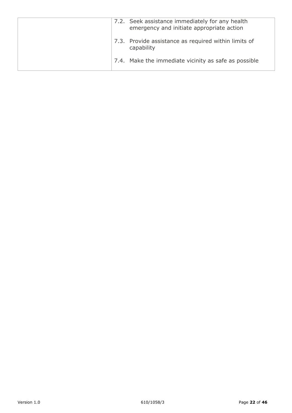|  | 7.2. Seek assistance immediately for any health<br>emergency and initiate appropriate action |
|--|----------------------------------------------------------------------------------------------|
|  | 7.3. Provide assistance as required within limits of<br>capability                           |
|  | 7.4. Make the immediate vicinity as safe as possible                                         |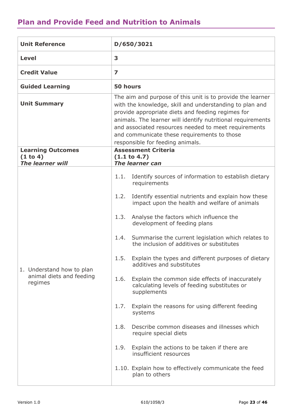#### <span id="page-22-0"></span>**Plan and Provide Feed and Nutrition to Animals**

| <b>Unit Reference</b>                                            | D/650/3021                                                                                                                                                                                                                                                                                                                                                                                                                                                                                                                                                                                                                                                                                                                                                                                                                                                                                                                          |  |  |
|------------------------------------------------------------------|-------------------------------------------------------------------------------------------------------------------------------------------------------------------------------------------------------------------------------------------------------------------------------------------------------------------------------------------------------------------------------------------------------------------------------------------------------------------------------------------------------------------------------------------------------------------------------------------------------------------------------------------------------------------------------------------------------------------------------------------------------------------------------------------------------------------------------------------------------------------------------------------------------------------------------------|--|--|
| <b>Level</b>                                                     | 3                                                                                                                                                                                                                                                                                                                                                                                                                                                                                                                                                                                                                                                                                                                                                                                                                                                                                                                                   |  |  |
| <b>Credit Value</b>                                              | $\overline{\mathbf{z}}$                                                                                                                                                                                                                                                                                                                                                                                                                                                                                                                                                                                                                                                                                                                                                                                                                                                                                                             |  |  |
| <b>Guided Learning</b>                                           | 50 hours                                                                                                                                                                                                                                                                                                                                                                                                                                                                                                                                                                                                                                                                                                                                                                                                                                                                                                                            |  |  |
| <b>Unit Summary</b>                                              | The aim and purpose of this unit is to provide the learner<br>with the knowledge, skill and understanding to plan and<br>provide appropriate diets and feeding regimes for<br>animals. The learner will identify nutritional requirements<br>and associated resources needed to meet requirements<br>and communicate these requirements to those<br>responsible for feeding animals.                                                                                                                                                                                                                                                                                                                                                                                                                                                                                                                                                |  |  |
| <b>Learning Outcomes</b><br>(1 to 4)<br>The learner will         | <b>Assessment Criteria</b><br>(1.1 to 4.7)<br><b>The learner can</b>                                                                                                                                                                                                                                                                                                                                                                                                                                                                                                                                                                                                                                                                                                                                                                                                                                                                |  |  |
| 1. Understand how to plan<br>animal diets and feeding<br>regimes | Identify sources of information to establish dietary<br>1.1.<br>requirements<br>1.2.<br>Identify essential nutrients and explain how these<br>impact upon the health and welfare of animals<br>Analyse the factors which influence the<br>1.3.<br>development of feeding plans<br>1.4.<br>Summarise the current legislation which relates to<br>the inclusion of additives or substitutes<br>1.5.<br>Explain the types and different purposes of dietary<br>additives and substitutes<br>1.6.<br>Explain the common side effects of inaccurately<br>calculating levels of feeding substitutes or<br>supplements<br>Explain the reasons for using different feeding<br>1.7.<br>systems<br>Describe common diseases and illnesses which<br>1.8.<br>require special diets<br>1.9.<br>Explain the actions to be taken if there are<br>insufficient resources<br>1.10. Explain how to effectively communicate the feed<br>plan to others |  |  |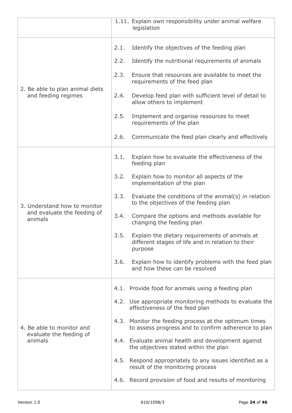|                                                                 |      | 1.11. Explain own responsibility under animal welfare<br>legislation                                           |
|-----------------------------------------------------------------|------|----------------------------------------------------------------------------------------------------------------|
|                                                                 | 2.1. | Identify the objectives of the feeding plan                                                                    |
|                                                                 | 2.2. | Identify the nutritional requirements of animals                                                               |
|                                                                 | 2.3. | Ensure that resources are available to meet the<br>requirements of the feed plan                               |
| 2. Be able to plan animal diets<br>and feeding regimes          | 2.4. | Develop feed plan with sufficient level of detail to<br>allow others to implement                              |
|                                                                 | 2.5. | Implement and organise resources to meet<br>requirements of the plan                                           |
|                                                                 | 2.6. | Communicate the feed plan clearly and effectively                                                              |
|                                                                 | 3.1. | Explain how to evaluate the effectiveness of the<br>feeding plan                                               |
|                                                                 | 3.2. | Explain how to monitor all aspects of the<br>implementation of the plan                                        |
| 3. Understand how to monitor                                    | 3.3. | Evaluate the conditions of the animal(s) in relation<br>to the objectives of the feeding plan                  |
| and evaluate the feeding of<br>animals                          | 3.4. | Compare the options and methods available for<br>changing the feeding plan                                     |
|                                                                 | 3.5. | Explain the dietary requirements of animals at<br>different stages of life and in relation to their<br>purpose |
|                                                                 | 3.6. | Explain how to identify problems with the feed plan<br>and how these can be resolved                           |
|                                                                 |      | 4.1. Provide food for animals using a feeding plan                                                             |
| 4. Be able to monitor and<br>evaluate the feeding of<br>animals |      | 4.2. Use appropriate monitoring methods to evaluate the<br>effectiveness of the feed plan                      |
|                                                                 |      | 4.3. Monitor the feeding process at the optimum times<br>to assess progress and to confirm adherence to plan   |
|                                                                 |      | 4.4. Evaluate animal health and development against<br>the objectives stated within the plan                   |
|                                                                 |      | 4.5. Respond appropriately to any issues identified as a<br>result of the monitoring process                   |
|                                                                 |      | 4.6. Record provision of food and results of monitoring                                                        |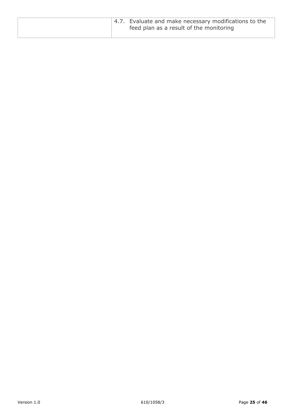|  | 4.7. Evaluate and make necessary modifications to the<br>feed plan as a result of the monitoring |
|--|--------------------------------------------------------------------------------------------------|
|--|--------------------------------------------------------------------------------------------------|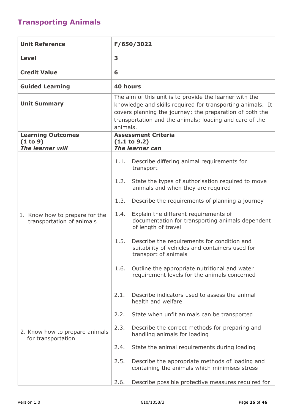# <span id="page-25-0"></span>**Transporting Animals**

| <b>Unit Reference</b>                                       | F/650/3022                                                                                                                                                                                                                                               |                                                                                                                        |  |
|-------------------------------------------------------------|----------------------------------------------------------------------------------------------------------------------------------------------------------------------------------------------------------------------------------------------------------|------------------------------------------------------------------------------------------------------------------------|--|
| <b>Level</b>                                                | 3                                                                                                                                                                                                                                                        |                                                                                                                        |  |
| <b>Credit Value</b>                                         | 6                                                                                                                                                                                                                                                        |                                                                                                                        |  |
| <b>Guided Learning</b>                                      | <b>40 hours</b>                                                                                                                                                                                                                                          |                                                                                                                        |  |
| <b>Unit Summary</b>                                         | The aim of this unit is to provide the learner with the<br>knowledge and skills required for transporting animals. It<br>covers planning the journey; the preparation of both the<br>transportation and the animals; loading and care of the<br>animals. |                                                                                                                        |  |
| <b>Learning Outcomes</b>                                    |                                                                                                                                                                                                                                                          | <b>Assessment Criteria</b>                                                                                             |  |
| (1 to 9)<br><b>The learner will</b>                         |                                                                                                                                                                                                                                                          | (1.1 to 9.2)<br><b>The learner can</b>                                                                                 |  |
| 1. Know how to prepare for the<br>transportation of animals | 1.1.                                                                                                                                                                                                                                                     | Describe differing animal requirements for<br>transport                                                                |  |
|                                                             | 1.2.                                                                                                                                                                                                                                                     | State the types of authorisation required to move<br>animals and when they are required                                |  |
|                                                             | 1.3.                                                                                                                                                                                                                                                     | Describe the requirements of planning a journey                                                                        |  |
|                                                             | 1.4.                                                                                                                                                                                                                                                     | Explain the different requirements of<br>documentation for transporting animals dependent<br>of length of travel       |  |
|                                                             | 1.5.                                                                                                                                                                                                                                                     | Describe the requirements for condition and<br>suitability of vehicles and containers used for<br>transport of animals |  |
|                                                             | 1.6.                                                                                                                                                                                                                                                     | Outline the appropriate nutritional and water<br>requirement levels for the animals concerned                          |  |
| 2. Know how to prepare animals<br>for transportation        | 2.1.                                                                                                                                                                                                                                                     | Describe indicators used to assess the animal<br>health and welfare                                                    |  |
|                                                             | 2.2.                                                                                                                                                                                                                                                     | State when unfit animals can be transported                                                                            |  |
|                                                             | 2.3.                                                                                                                                                                                                                                                     | Describe the correct methods for preparing and<br>handling animals for loading                                         |  |
|                                                             | 2.4.                                                                                                                                                                                                                                                     | State the animal requirements during loading                                                                           |  |
|                                                             | 2.5.                                                                                                                                                                                                                                                     | Describe the appropriate methods of loading and<br>containing the animals which minimises stress                       |  |
|                                                             | 2.6.                                                                                                                                                                                                                                                     | Describe possible protective measures required for                                                                     |  |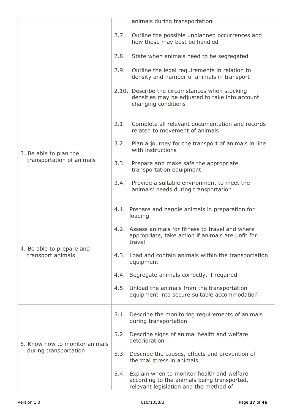|                                                         |      | animals during transportation                                                                                                            |
|---------------------------------------------------------|------|------------------------------------------------------------------------------------------------------------------------------------------|
|                                                         | 2.7. | Outline the possible unplanned occurrences and<br>how these may best be handled                                                          |
|                                                         | 2.8. | State when animals need to be segregated                                                                                                 |
|                                                         | 2.9. | Outline the legal requirements in relation to<br>density and number of animals in transport                                              |
|                                                         |      | 2.10. Describe the circumstances when stocking<br>densities may be adjusted to take into account<br>changing conditions                  |
|                                                         | 3.1. | Complete all relevant documentation and records<br>related to movement of animals                                                        |
| 3. Be able to plan the                                  | 3.2. | Plan a journey for the transport of animals in line<br>with instructions                                                                 |
| transportation of animals                               | 3.3. | Prepare and make safe the appropriate<br>transportation equipment                                                                        |
|                                                         | 3.4. | Provide a suitable environment to meet the<br>animals' needs during transportation                                                       |
|                                                         |      | 4.1. Prepare and handle animals in preparation for<br>loading                                                                            |
|                                                         |      | 4.2. Assess animals for fitness to travel and where<br>appropriate, take action if animals are unfit for<br>travel                       |
| 4. Be able to prepare and<br>transport animals          |      | 4.3. Load and contain animals within the transportation<br>equipment                                                                     |
|                                                         |      | 4.4. Segregate animals correctly, if required                                                                                            |
|                                                         |      | 4.5. Unload the animals from the transportation<br>equipment into secure suitable accommodation                                          |
| 5. Know how to monitor animals<br>during transportation |      | 5.1. Describe the monitoring requirements of animals<br>during transportation                                                            |
|                                                         |      | 5.2. Describe signs of animal health and welfare<br>deterioration                                                                        |
|                                                         |      | 5.3. Describe the causes, effects and prevention of<br>thermal stress in animals                                                         |
|                                                         |      | 5.4. Explain when to monitor health and welfare<br>according to the animals being transported,<br>relevant legislation and the method of |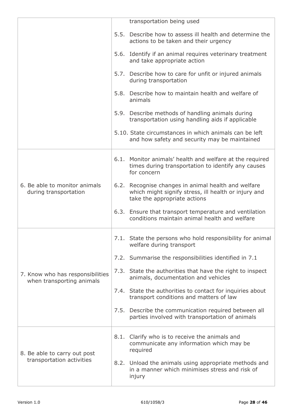|                                                               | transportation being used                                                                                                                   |
|---------------------------------------------------------------|---------------------------------------------------------------------------------------------------------------------------------------------|
|                                                               | 5.5. Describe how to assess ill health and determine the<br>actions to be taken and their urgency                                           |
|                                                               | 5.6. Identify if an animal requires veterinary treatment<br>and take appropriate action                                                     |
|                                                               | 5.7. Describe how to care for unfit or injured animals<br>during transportation                                                             |
|                                                               | 5.8. Describe how to maintain health and welfare of<br>animals                                                                              |
|                                                               | 5.9. Describe methods of handling animals during<br>transportation using handling aids if applicable                                        |
|                                                               | 5.10. State circumstances in which animals can be left<br>and how safety and security may be maintained                                     |
| 6. Be able to monitor animals<br>during transportation        | 6.1. Monitor animals' health and welfare at the required<br>times during transportation to identify any causes<br>for concern               |
|                                                               | 6.2. Recognise changes in animal health and welfare<br>which might signify stress, ill health or injury and<br>take the appropriate actions |
|                                                               | 6.3. Ensure that transport temperature and ventilation<br>conditions maintain animal health and welfare                                     |
|                                                               | 7.1. State the persons who hold responsibility for animal<br>welfare during transport                                                       |
|                                                               | 7.2. Summarise the responsibilities identified in 7.1                                                                                       |
| 7. Know who has responsibilities<br>when transporting animals | 7.3. State the authorities that have the right to inspect<br>animals, documentation and vehicles                                            |
|                                                               | 7.4. State the authorities to contact for inquiries about<br>transport conditions and matters of law                                        |
|                                                               | 7.5. Describe the communication required between all<br>parties involved with transportation of animals                                     |
| 8. Be able to carry out post<br>transportation activities     | 8.1. Clarify who is to receive the animals and<br>communicate any information which may be<br>required                                      |
|                                                               | 8.2. Unload the animals using appropriate methods and<br>in a manner which minimises stress and risk of<br>injury                           |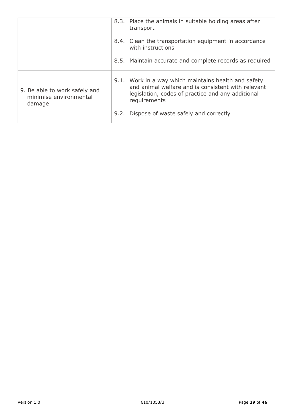|                                                                   | 8.3. Place the animals in suitable holding areas after<br>transport                                                                                                             |
|-------------------------------------------------------------------|---------------------------------------------------------------------------------------------------------------------------------------------------------------------------------|
|                                                                   | 8.4. Clean the transportation equipment in accordance<br>with instructions                                                                                                      |
|                                                                   | 8.5. Maintain accurate and complete records as required                                                                                                                         |
| 9. Be able to work safely and<br>minimise environmental<br>damage | 9.1. Work in a way which maintains health and safety<br>and animal welfare and is consistent with relevant<br>legislation, codes of practice and any additional<br>requirements |
|                                                                   | 9.2. Dispose of waste safely and correctly                                                                                                                                      |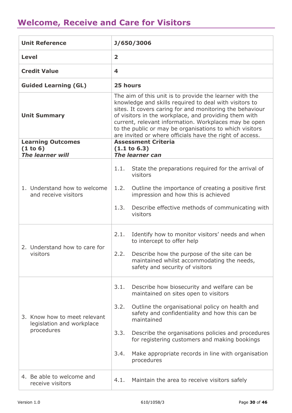# <span id="page-29-0"></span>**Welcome, Receive and Care for Visitors**

| <b>Unit Reference</b>                                                   |                                                                                                                                                                                                                                                                                                                                                                                                                        | J/650/3006                                                                                                                        |
|-------------------------------------------------------------------------|------------------------------------------------------------------------------------------------------------------------------------------------------------------------------------------------------------------------------------------------------------------------------------------------------------------------------------------------------------------------------------------------------------------------|-----------------------------------------------------------------------------------------------------------------------------------|
| <b>Level</b>                                                            | $\overline{\mathbf{2}}$                                                                                                                                                                                                                                                                                                                                                                                                |                                                                                                                                   |
| <b>Credit Value</b>                                                     | 4                                                                                                                                                                                                                                                                                                                                                                                                                      |                                                                                                                                   |
| <b>Guided Learning (GL)</b>                                             | 25 hours                                                                                                                                                                                                                                                                                                                                                                                                               |                                                                                                                                   |
| <b>Unit Summary</b>                                                     | The aim of this unit is to provide the learner with the<br>knowledge and skills required to deal with visitors to<br>sites. It covers caring for and monitoring the behaviour<br>of visitors in the workplace, and providing them with<br>current, relevant information. Workplaces may be open<br>to the public or may be organisations to which visitors<br>are invited or where officials have the right of access. |                                                                                                                                   |
| <b>Learning Outcomes</b><br>(1 to 6)<br><b>The learner will</b>         |                                                                                                                                                                                                                                                                                                                                                                                                                        | <b>Assessment Criteria</b><br>(1.1 to 6.3)<br>The learner can                                                                     |
|                                                                         |                                                                                                                                                                                                                                                                                                                                                                                                                        |                                                                                                                                   |
|                                                                         | 1.1.                                                                                                                                                                                                                                                                                                                                                                                                                   | State the preparations required for the arrival of<br>visitors                                                                    |
| 1. Understand how to welcome<br>and receive visitors                    | 1.2.                                                                                                                                                                                                                                                                                                                                                                                                                   | Outline the importance of creating a positive first<br>impression and how this is achieved                                        |
|                                                                         | 1.3.                                                                                                                                                                                                                                                                                                                                                                                                                   | Describe effective methods of communicating with<br>visitors                                                                      |
| 2. Understand how to care for<br>visitors                               | 2.1.                                                                                                                                                                                                                                                                                                                                                                                                                   | Identify how to monitor visitors' needs and when<br>to intercept to offer help                                                    |
|                                                                         |                                                                                                                                                                                                                                                                                                                                                                                                                        | 2.2. Describe how the purpose of the site can be<br>maintained whilst accommodating the needs,<br>safety and security of visitors |
|                                                                         | 3.1.                                                                                                                                                                                                                                                                                                                                                                                                                   | Describe how biosecurity and welfare can be<br>maintained on sites open to visitors                                               |
| 3. Know how to meet relevant<br>legislation and workplace<br>procedures | 3.2.                                                                                                                                                                                                                                                                                                                                                                                                                   | Outline the organisational policy on health and<br>safety and confidentiality and how this can be<br>maintained                   |
|                                                                         | 3.3.                                                                                                                                                                                                                                                                                                                                                                                                                   | Describe the organisations policies and procedures<br>for registering customers and making bookings                               |
|                                                                         | 3.4.                                                                                                                                                                                                                                                                                                                                                                                                                   | Make appropriate records in line with organisation<br>procedures                                                                  |
| 4. Be able to welcome and<br>receive visitors                           | 4.1.                                                                                                                                                                                                                                                                                                                                                                                                                   | Maintain the area to receive visitors safely                                                                                      |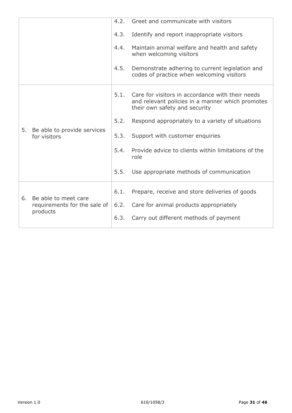|    |                                                                  | 4.2. | Greet and communicate with visitors                                                                                                   |
|----|------------------------------------------------------------------|------|---------------------------------------------------------------------------------------------------------------------------------------|
|    |                                                                  | 4.3. | Identify and report inappropriate visitors                                                                                            |
|    |                                                                  | 4.4. | Maintain animal welfare and health and safety<br>when welcoming visitors                                                              |
|    |                                                                  | 4.5. | Demonstrate adhering to current legislation and<br>codes of practice when welcoming visitors                                          |
|    | 5. Be able to provide services<br>for visitors                   | 5.1. | Care for visitors in accordance with their needs<br>and relevant policies in a manner which promotes<br>their own safety and security |
|    |                                                                  | 5.2. | Respond appropriately to a variety of situations                                                                                      |
|    |                                                                  | 5.3. | Support with customer enquiries                                                                                                       |
|    |                                                                  | 5.4. | Provide advice to clients within limitations of the<br>role                                                                           |
|    |                                                                  | 5.5. | Use appropriate methods of communication                                                                                              |
|    | Be able to meet care<br>requirements for the sale of<br>products | 6.1. | Prepare, receive and store deliveries of goods                                                                                        |
| 6. |                                                                  | 6.2. | Care for animal products appropriately                                                                                                |
|    |                                                                  | 6.3. | Carry out different methods of payment                                                                                                |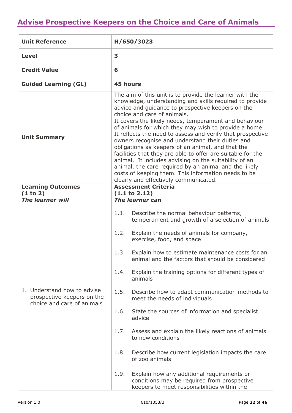# <span id="page-31-0"></span>**Advise Prospective Keepers on the Choice and Care of Animals**

| <b>Unit Reference</b>                                                                   | H/650/3023                                                                                                                                                                                                                                                                                                                                                                                                                                                                                                                                                                                                                                                                                                                                                                       |  |  |
|-----------------------------------------------------------------------------------------|----------------------------------------------------------------------------------------------------------------------------------------------------------------------------------------------------------------------------------------------------------------------------------------------------------------------------------------------------------------------------------------------------------------------------------------------------------------------------------------------------------------------------------------------------------------------------------------------------------------------------------------------------------------------------------------------------------------------------------------------------------------------------------|--|--|
| <b>Level</b>                                                                            | 3                                                                                                                                                                                                                                                                                                                                                                                                                                                                                                                                                                                                                                                                                                                                                                                |  |  |
| <b>Credit Value</b>                                                                     | 6                                                                                                                                                                                                                                                                                                                                                                                                                                                                                                                                                                                                                                                                                                                                                                                |  |  |
| <b>Guided Learning (GL)</b>                                                             | <b>45 hours</b>                                                                                                                                                                                                                                                                                                                                                                                                                                                                                                                                                                                                                                                                                                                                                                  |  |  |
| <b>Unit Summary</b>                                                                     | The aim of this unit is to provide the learner with the<br>knowledge, understanding and skills required to provide<br>advice and guidance to prospective keepers on the<br>choice and care of animals.<br>It covers the likely needs, temperament and behaviour<br>of animals for which they may wish to provide a home.<br>It reflects the need to assess and verify that prospective<br>owners recognise and understand their duties and<br>obligations as keepers of an animal, and that the<br>facilities that they are able to offer are suitable for the<br>animal. It includes advising on the suitability of an<br>animal, the care required by an animal and the likely<br>costs of keeping them. This information needs to be<br>clearly and effectively communicated. |  |  |
| <b>Learning Outcomes</b><br>(1 to 2)                                                    | <b>Assessment Criteria</b><br>$(1.1 \text{ to } 2.12)$                                                                                                                                                                                                                                                                                                                                                                                                                                                                                                                                                                                                                                                                                                                           |  |  |
| <b>The learner will</b>                                                                 | The learner can                                                                                                                                                                                                                                                                                                                                                                                                                                                                                                                                                                                                                                                                                                                                                                  |  |  |
| 1. Understand how to advise<br>prospective keepers on the<br>choice and care of animals | 1.1.<br>Describe the normal behaviour patterns,<br>temperament and growth of a selection of animals<br>1.2.<br>Explain the needs of animals for company,<br>exercise, food, and space<br>1.3.<br>Explain how to estimate maintenance costs for an<br>animal and the factors that should be considered<br>Explain the training options for different types of<br>1.4.<br>animals<br>1.5.<br>Describe how to adapt communication methods to<br>meet the needs of individuals<br>1.6.<br>State the sources of information and specialist<br>advice<br>Assess and explain the likely reactions of animals<br>1.7.<br>to new conditions<br>1.8.<br>Describe how current legislation impacts the care<br>of zoo animals                                                                |  |  |
|                                                                                         | 1.9.<br>Explain how any additional requirements or<br>conditions may be required from prospective<br>keepers to meet responsibilities within the                                                                                                                                                                                                                                                                                                                                                                                                                                                                                                                                                                                                                                 |  |  |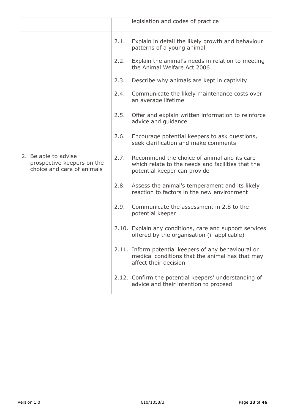|                                                                                  |      | legislation and codes of practice                                                                                                |
|----------------------------------------------------------------------------------|------|----------------------------------------------------------------------------------------------------------------------------------|
|                                                                                  | 2.1. | Explain in detail the likely growth and behaviour<br>patterns of a young animal                                                  |
|                                                                                  | 2.2. | Explain the animal's needs in relation to meeting<br>the Animal Welfare Act 2006                                                 |
|                                                                                  | 2.3. | Describe why animals are kept in captivity                                                                                       |
|                                                                                  | 2.4. | Communicate the likely maintenance costs over<br>an average lifetime                                                             |
|                                                                                  | 2.5. | Offer and explain written information to reinforce<br>advice and guidance                                                        |
|                                                                                  | 2.6. | Encourage potential keepers to ask questions,<br>seek clarification and make comments                                            |
| 2. Be able to advise<br>prospective keepers on the<br>choice and care of animals | 2.7. | Recommend the choice of animal and its care<br>which relate to the needs and facilities that the<br>potential keeper can provide |
|                                                                                  | 2.8. | Assess the animal's temperament and its likely<br>reaction to factors in the new environment                                     |
|                                                                                  | 2.9. | Communicate the assessment in 2.8 to the<br>potential keeper                                                                     |
|                                                                                  |      | 2.10. Explain any conditions, care and support services<br>offered by the organisation (if applicable)                           |
|                                                                                  |      | 2.11. Inform potential keepers of any behavioural or<br>medical conditions that the animal has that may<br>affect their decision |
|                                                                                  |      | 2.12. Confirm the potential keepers' understanding of<br>advice and their intention to proceed                                   |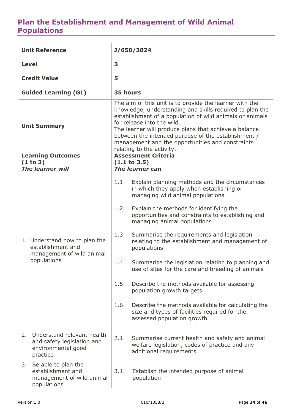#### <span id="page-33-0"></span>**Plan the Establishment and Management of Wild Animal Populations**

| <b>Unit Reference</b>                                                                            | J/650/3024                                                                                                                                                                                                                                                                                                                                                                                                     |  |  |
|--------------------------------------------------------------------------------------------------|----------------------------------------------------------------------------------------------------------------------------------------------------------------------------------------------------------------------------------------------------------------------------------------------------------------------------------------------------------------------------------------------------------------|--|--|
| <b>Level</b>                                                                                     | 3                                                                                                                                                                                                                                                                                                                                                                                                              |  |  |
| <b>Credit Value</b>                                                                              | 5                                                                                                                                                                                                                                                                                                                                                                                                              |  |  |
| <b>Guided Learning (GL)</b>                                                                      | 35 hours                                                                                                                                                                                                                                                                                                                                                                                                       |  |  |
| <b>Unit Summary</b>                                                                              | The aim of this unit is to provide the learner with the<br>knowledge, understanding and skills required to plan the<br>establishment of a population of wild animals or animals<br>for release into the wild.<br>The learner will produce plans that achieve a balance<br>between the intended purpose of the establishment /<br>management and the opportunities and constraints<br>relating to the activity. |  |  |
| <b>Learning Outcomes</b><br>(1 to 3)<br><b>The learner will</b>                                  | <b>Assessment Criteria</b><br>(1.1 to 3.5)<br>The learner can                                                                                                                                                                                                                                                                                                                                                  |  |  |
|                                                                                                  | Explain planning methods and the circumstances<br>1.1.<br>in which they apply when establishing or<br>managing wild animal populations                                                                                                                                                                                                                                                                         |  |  |
|                                                                                                  | 1.2.<br>Explain the methods for identifying the<br>opportunities and constraints to establishing and<br>managing animal populations                                                                                                                                                                                                                                                                            |  |  |
| 1. Understand how to plan the<br>establishment and<br>management of wild animal                  | 1.3.<br>Summarise the requirements and legislation<br>relating to the establishment and management of<br>populations                                                                                                                                                                                                                                                                                           |  |  |
| populations                                                                                      | Summarise the legislation relating to planning and<br>1.4.<br>use of sites for the care and breeding of animals                                                                                                                                                                                                                                                                                                |  |  |
|                                                                                                  | 1.5.<br>Describe the methods available for assessing<br>population growth targets                                                                                                                                                                                                                                                                                                                              |  |  |
|                                                                                                  | 1.6.<br>Describe the methods available for calculating the<br>size and types of facilities required for the<br>assessed population growth                                                                                                                                                                                                                                                                      |  |  |
| Understand relevant health<br>2.<br>and safety legislation and<br>environmental good<br>practice | 2.1.<br>Summarise current health and safety and animal<br>welfare legislation, codes of practice and any<br>additional requirements                                                                                                                                                                                                                                                                            |  |  |
| Be able to plan the<br>3.<br>establishment and<br>management of wild animal<br>populations       | Establish the intended purpose of animal<br>3.1.<br>population                                                                                                                                                                                                                                                                                                                                                 |  |  |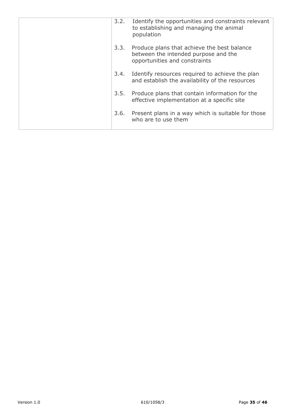| 3.2. | Identify the opportunities and constraints relevant<br>to establishing and managing the animal<br>population         |
|------|----------------------------------------------------------------------------------------------------------------------|
| 3.3. | Produce plans that achieve the best balance<br>between the intended purpose and the<br>opportunities and constraints |
| 3.4. | Identify resources required to achieve the plan<br>and establish the availability of the resources                   |
| 3.5. | Produce plans that contain information for the<br>effective implementation at a specific site                        |
| 3.6. | Present plans in a way which is suitable for those<br>who are to use them                                            |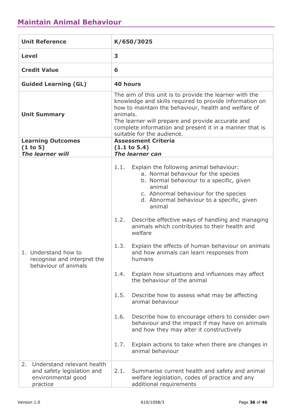#### <span id="page-35-0"></span>**Maintain Animal Behaviour**

| <b>Unit Reference</b>                                                                            | K/650/3025                                                                                                                                                                                                                                                                                                                                                                                                                                                                                                                                                                                                                                                                                                                                                                                                                                                                                                  |  |  |
|--------------------------------------------------------------------------------------------------|-------------------------------------------------------------------------------------------------------------------------------------------------------------------------------------------------------------------------------------------------------------------------------------------------------------------------------------------------------------------------------------------------------------------------------------------------------------------------------------------------------------------------------------------------------------------------------------------------------------------------------------------------------------------------------------------------------------------------------------------------------------------------------------------------------------------------------------------------------------------------------------------------------------|--|--|
| <b>Level</b>                                                                                     | 3                                                                                                                                                                                                                                                                                                                                                                                                                                                                                                                                                                                                                                                                                                                                                                                                                                                                                                           |  |  |
| <b>Credit Value</b>                                                                              | 6                                                                                                                                                                                                                                                                                                                                                                                                                                                                                                                                                                                                                                                                                                                                                                                                                                                                                                           |  |  |
| <b>Guided Learning (GL)</b>                                                                      | <b>40 hours</b>                                                                                                                                                                                                                                                                                                                                                                                                                                                                                                                                                                                                                                                                                                                                                                                                                                                                                             |  |  |
| <b>Unit Summary</b>                                                                              | The aim of this unit is to provide the learner with the<br>knowledge and skills required to provide information on<br>how to maintain the behaviour, health and welfare of<br>animals.<br>The learner will prepare and provide accurate and<br>complete information and present it in a manner that is<br>suitable for the audience.                                                                                                                                                                                                                                                                                                                                                                                                                                                                                                                                                                        |  |  |
| <b>Learning Outcomes</b><br>(1 to 5)<br><b>The learner will</b>                                  | <b>Assessment Criteria</b><br>(1.1 to 5.4)<br><b>The learner can</b>                                                                                                                                                                                                                                                                                                                                                                                                                                                                                                                                                                                                                                                                                                                                                                                                                                        |  |  |
| 1. Understand how to<br>recognise and interpret the<br>behaviour of animals                      | Explain the following animal behaviour:<br>1.1.<br>a. Normal behaviour for the species<br>b. Normal behaviour to a specific, given<br>animal<br>c. Abnormal behaviour for the species<br>d. Abnormal behaviour to a specific, given<br>animal<br>Describe effective ways of handling and managing<br>1.2.<br>animals which contributes to their health and<br>welfare<br>1.3.<br>Explain the effects of human behaviour on animals<br>and how animals can learn responses from<br>humans<br>1.4.<br>Explain how situations and influences may affect<br>the behaviour of the animal<br>1.5.<br>Describe how to assess what may be affecting<br>animal behaviour<br>Describe how to encourage others to consider own<br>1.6.<br>behaviour and the impact if may have on animals<br>and how they may alter it constructively<br>1.7.<br>Explain actions to take when there are changes in<br>animal behaviour |  |  |
| Understand relevant health<br>2.<br>and safety legislation and<br>environmental good<br>practice | 2.1.<br>Summarise current health and safety and animal<br>welfare legislation, codes of practice and any<br>additional requirements                                                                                                                                                                                                                                                                                                                                                                                                                                                                                                                                                                                                                                                                                                                                                                         |  |  |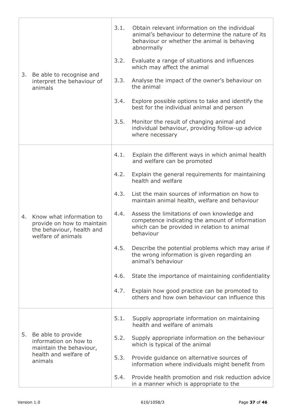|    | Be able to recognise and<br>interpret the behaviour of<br>animals                                          | 3.1. | Obtain relevant information on the individual<br>animal's behaviour to determine the nature of its<br>behaviour or whether the animal is behaving<br>abnormally |
|----|------------------------------------------------------------------------------------------------------------|------|-----------------------------------------------------------------------------------------------------------------------------------------------------------------|
|    |                                                                                                            | 3.2. | Evaluate a range of situations and influences<br>which may affect the animal                                                                                    |
| 3. |                                                                                                            | 3.3. | Analyse the impact of the owner's behaviour on<br>the animal                                                                                                    |
|    |                                                                                                            | 3.4. | Explore possible options to take and identify the<br>best for the individual animal and person                                                                  |
|    |                                                                                                            | 3.5. | Monitor the result of changing animal and<br>individual behaviour, providing follow-up advice<br>where necessary                                                |
|    | Know what information to<br>provide on how to maintain<br>the behaviour, health and<br>welfare of animals  | 4.1. | Explain the different ways in which animal health<br>and welfare can be promoted                                                                                |
|    |                                                                                                            | 4.2. | Explain the general requirements for maintaining<br>health and welfare                                                                                          |
|    |                                                                                                            | 4.3. | List the main sources of information on how to<br>maintain animal health, welfare and behaviour                                                                 |
| 4. |                                                                                                            | 4.4. | Assess the limitations of own knowledge and<br>competence indicating the amount of information<br>which can be provided in relation to animal<br>behaviour      |
|    |                                                                                                            | 4.5. | Describe the potential problems which may arise if<br>the wrong information is given regarding an<br>animal's behaviour                                         |
|    |                                                                                                            | 4.6. | State the importance of maintaining confidentiality                                                                                                             |
|    |                                                                                                            | 4.7. | Explain how good practice can be promoted to<br>others and how own behaviour can influence this                                                                 |
|    | Be able to provide<br>information on how to<br>maintain the behaviour,<br>health and welfare of<br>animals | 5.1. | Supply appropriate information on maintaining<br>health and welfare of animals                                                                                  |
| 5. |                                                                                                            | 5.2. | Supply appropriate information on the behaviour<br>which is typical of the animal                                                                               |
|    |                                                                                                            | 5.3. | Provide guidance on alternative sources of<br>information where individuals might benefit from                                                                  |
|    |                                                                                                            | 5.4. | Provide health promotion and risk reduction advice<br>in a manner which is appropriate to the                                                                   |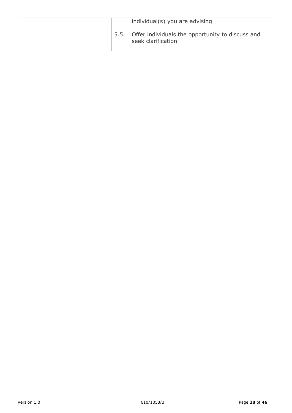|  | individual(s) you are advising                                              |
|--|-----------------------------------------------------------------------------|
|  | 5.5. Offer individuals the opportunity to discuss and<br>seek clarification |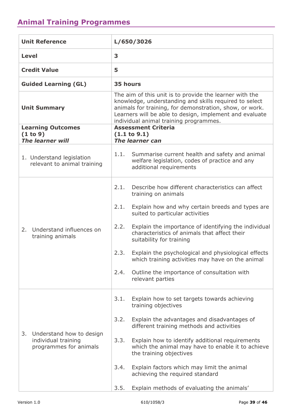### <span id="page-38-0"></span>**Animal Training Programmes**

| <b>Unit Reference</b>                                                           | L/650/3026                                                                                                                                                                                                                                                                        |  |  |
|---------------------------------------------------------------------------------|-----------------------------------------------------------------------------------------------------------------------------------------------------------------------------------------------------------------------------------------------------------------------------------|--|--|
| <b>Level</b>                                                                    | 3                                                                                                                                                                                                                                                                                 |  |  |
| <b>Credit Value</b>                                                             | 5                                                                                                                                                                                                                                                                                 |  |  |
| <b>Guided Learning (GL)</b>                                                     | 35 hours                                                                                                                                                                                                                                                                          |  |  |
| <b>Unit Summary</b>                                                             | The aim of this unit is to provide the learner with the<br>knowledge, understanding and skills required to select<br>animals for training, for demonstration, show, or work.<br>Learners will be able to design, implement and evaluate<br>individual animal training programmes. |  |  |
| <b>Learning Outcomes</b><br>(1 to 9)                                            | <b>Assessment Criteria</b><br>(1.1 to 9.1)                                                                                                                                                                                                                                        |  |  |
| <b>The learner will</b>                                                         | <b>The learner can</b>                                                                                                                                                                                                                                                            |  |  |
| 1. Understand legislation<br>relevant to animal training                        | Summarise current health and safety and animal<br>1.1.<br>welfare legislation, codes of practice and any<br>additional requirements                                                                                                                                               |  |  |
|                                                                                 | 2.1.<br>Describe how different characteristics can affect<br>training on animals                                                                                                                                                                                                  |  |  |
|                                                                                 | Explain how and why certain breeds and types are<br>2.1.<br>suited to particular activities                                                                                                                                                                                       |  |  |
| Understand influences on<br>2.<br>training animals                              | Explain the importance of identifying the individual<br>2.2.<br>characteristics of animals that affect their<br>suitability for training                                                                                                                                          |  |  |
|                                                                                 | 2.3.<br>Explain the psychological and physiological effects<br>which training activities may have on the animal                                                                                                                                                                   |  |  |
|                                                                                 | Outline the importance of consultation with<br>2.4.<br>relevant parties                                                                                                                                                                                                           |  |  |
|                                                                                 | Explain how to set targets towards achieving<br>3.1.<br>training objectives                                                                                                                                                                                                       |  |  |
|                                                                                 | 3.2.<br>Explain the advantages and disadvantages of<br>different training methods and activities                                                                                                                                                                                  |  |  |
| Understand how to design<br>3.<br>individual training<br>programmes for animals | 3.3.<br>Explain how to identify additional requirements<br>which the animal may have to enable it to achieve<br>the training objectives                                                                                                                                           |  |  |
|                                                                                 | Explain factors which may limit the animal<br>3.4.<br>achieving the required standard                                                                                                                                                                                             |  |  |
|                                                                                 | Explain methods of evaluating the animals'<br>3.5.                                                                                                                                                                                                                                |  |  |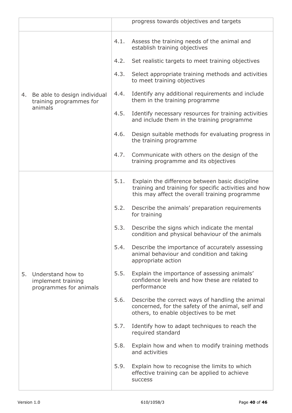|    |                                                                    |      | progress towards objectives and targets                                                                                                                    |
|----|--------------------------------------------------------------------|------|------------------------------------------------------------------------------------------------------------------------------------------------------------|
| 4. | Be able to design individual<br>training programmes for<br>animals | 4.1. | Assess the training needs of the animal and<br>establish training objectives                                                                               |
|    |                                                                    | 4.2. | Set realistic targets to meet training objectives                                                                                                          |
|    |                                                                    | 4.3. | Select appropriate training methods and activities<br>to meet training objectives                                                                          |
|    |                                                                    | 4.4. | Identify any additional requirements and include<br>them in the training programme                                                                         |
|    |                                                                    | 4.5. | Identify necessary resources for training activities<br>and include them in the training programme                                                         |
|    |                                                                    | 4.6. | Design suitable methods for evaluating progress in<br>the training programme                                                                               |
|    |                                                                    | 4.7. | Communicate with others on the design of the<br>training programme and its objectives                                                                      |
|    | Understand how to<br>implement training<br>programmes for animals  | 5.1. | Explain the difference between basic discipline<br>training and training for specific activities and how<br>this may affect the overall training programme |
|    |                                                                    | 5.2. | Describe the animals' preparation requirements<br>for training                                                                                             |
|    |                                                                    | 5.3. | Describe the signs which indicate the mental<br>condition and physical behaviour of the animals                                                            |
|    |                                                                    | 5.4. | Describe the importance of accurately assessing<br>animal behaviour and condition and taking<br>appropriate action                                         |
| 5. |                                                                    | 5.5. | Explain the importance of assessing animals'<br>confidence levels and how these are related to<br>performance                                              |
|    |                                                                    | 5.6. | Describe the correct ways of handling the animal<br>concerned, for the safety of the animal, self and<br>others, to enable objectives to be met            |
|    |                                                                    | 5.7. | Identify how to adapt techniques to reach the<br>required standard                                                                                         |
|    |                                                                    | 5.8. | Explain how and when to modify training methods<br>and activities                                                                                          |
|    |                                                                    | 5.9. | Explain how to recognise the limits to which<br>effective training can be applied to achieve<br><b>SUCCESS</b>                                             |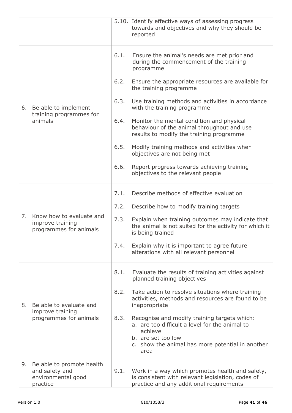|    |                                                                               |      | 5.10. Identify effective ways of assessing progress<br>towards and objectives and why they should be<br>reported                                                                            |
|----|-------------------------------------------------------------------------------|------|---------------------------------------------------------------------------------------------------------------------------------------------------------------------------------------------|
|    | 6. Be able to implement<br>training programmes for<br>animals                 | 6.1. | Ensure the animal's needs are met prior and<br>during the commencement of the training<br>programme                                                                                         |
|    |                                                                               | 6.2. | Ensure the appropriate resources are available for<br>the training programme                                                                                                                |
|    |                                                                               | 6.3. | Use training methods and activities in accordance<br>with the training programme                                                                                                            |
|    |                                                                               | 6.4. | Monitor the mental condition and physical<br>behaviour of the animal throughout and use<br>results to modify the training programme                                                         |
|    |                                                                               | 6.5. | Modify training methods and activities when<br>objectives are not being met                                                                                                                 |
|    |                                                                               | 6.6. | Report progress towards achieving training<br>objectives to the relevant people                                                                                                             |
|    | Know how to evaluate and<br>improve training<br>programmes for animals        | 7.1. | Describe methods of effective evaluation                                                                                                                                                    |
|    |                                                                               | 7.2. | Describe how to modify training targets                                                                                                                                                     |
| 7. |                                                                               | 7.3. | Explain when training outcomes may indicate that<br>the animal is not suited for the activity for which it<br>is being trained                                                              |
|    |                                                                               |      | 7.4. Explain why it is important to agree future<br>alterations with all relevant personnel                                                                                                 |
|    |                                                                               | 8.1. | Evaluate the results of training activities against<br>planned training objectives                                                                                                          |
| 8. | Be able to evaluate and<br>improve training<br>programmes for animals         | 8.2. | Take action to resolve situations where training<br>activities, methods and resources are found to be<br>inappropriate                                                                      |
|    |                                                                               | 8.3. | Recognise and modify training targets which:<br>a. are too difficult a level for the animal to<br>achieve<br>b. are set too low<br>c. show the animal has more potential in another<br>area |
| 9. | Be able to promote health<br>and safety and<br>environmental good<br>practice | 9.1. | Work in a way which promotes health and safety,<br>is consistent with relevant legislation, codes of<br>practice and any additional requirements                                            |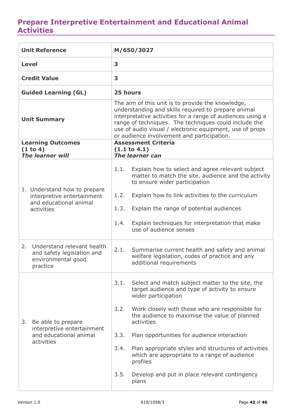#### <span id="page-41-0"></span>**Prepare Interpretive Entertainment and Educational Animal Activities**

| <b>Unit Reference</b>                                                                            | M/650/3027                                                                                                                                                                                                                                                                                                                                |  |  |
|--------------------------------------------------------------------------------------------------|-------------------------------------------------------------------------------------------------------------------------------------------------------------------------------------------------------------------------------------------------------------------------------------------------------------------------------------------|--|--|
| <b>Level</b>                                                                                     | 3                                                                                                                                                                                                                                                                                                                                         |  |  |
| <b>Credit Value</b>                                                                              | 3                                                                                                                                                                                                                                                                                                                                         |  |  |
| <b>Guided Learning (GL)</b>                                                                      | 25 hours                                                                                                                                                                                                                                                                                                                                  |  |  |
| <b>Unit Summary</b>                                                                              | The aim of this unit is to provide the knowledge,<br>understanding and skills required to prepare animal<br>interpretative activities for a range of audiences using a<br>range of techniques. The techniques could include the<br>use of audio visual / electronic equipment, use of props<br>or audience involvement and participation. |  |  |
| <b>Learning Outcomes</b><br>(1 to 4)                                                             | <b>Assessment Criteria</b><br>(1.1 to 4.1)                                                                                                                                                                                                                                                                                                |  |  |
| <b>The learner will</b>                                                                          | The learner can                                                                                                                                                                                                                                                                                                                           |  |  |
|                                                                                                  | Explain how to select and agree relevant subject<br>1.1.<br>matter to match the site, audience and the activity<br>to ensure wider participation                                                                                                                                                                                          |  |  |
| 1. Understand how to prepare<br>interpretive entertainment                                       | Explain how to link activities to the curriculum<br>1.2.                                                                                                                                                                                                                                                                                  |  |  |
| and educational animal<br>activities                                                             | 1.3.<br>Explain the range of potential audiences                                                                                                                                                                                                                                                                                          |  |  |
|                                                                                                  | Explain techniques for interpretation that make<br>1.4.<br>use of audience senses                                                                                                                                                                                                                                                         |  |  |
| Understand relevant health<br>2.<br>and safety legislation and<br>environmental good<br>practice | 2.1.<br>Summarise current health and safety and animal<br>welfare legislation, codes of practice and any<br>additional requirements                                                                                                                                                                                                       |  |  |
|                                                                                                  | 3.1.<br>Select and match subject matter to the site, the<br>target audience and type of activity to ensure<br>wider participation                                                                                                                                                                                                         |  |  |
| Be able to prepare<br>3.<br>interpretive entertainment                                           | Work closely with those who are responsible for<br>3.2.<br>the audience to maximise the value of planned<br>activities                                                                                                                                                                                                                    |  |  |
| and educational animal<br>activities                                                             | 3.3.<br>Plan opportunities for audience interaction                                                                                                                                                                                                                                                                                       |  |  |
|                                                                                                  | 3.4.<br>Plan appropriate styles and structures of activities<br>which are appropriate to a range of audience<br>profiles                                                                                                                                                                                                                  |  |  |
|                                                                                                  | 3.5.<br>Develop and put in place relevant contingency<br>plans                                                                                                                                                                                                                                                                            |  |  |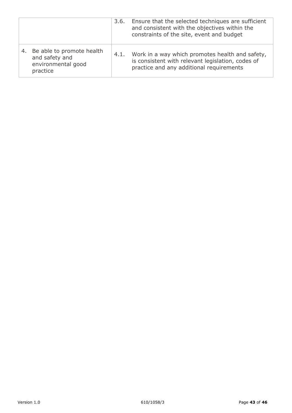|    |                                                                               | 3.6. | Ensure that the selected techniques are sufficient<br>and consistent with the objectives within the<br>constraints of the site, event and budget |
|----|-------------------------------------------------------------------------------|------|--------------------------------------------------------------------------------------------------------------------------------------------------|
| 4. | Be able to promote health<br>and safety and<br>environmental good<br>practice | 4.1. | Work in a way which promotes health and safety,<br>is consistent with relevant legislation, codes of<br>practice and any additional requirements |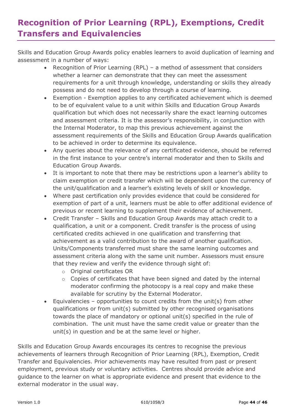# <span id="page-43-0"></span>**Recognition of Prior Learning (RPL), Exemptions, Credit Transfers and Equivalencies**

Skills and Education Group Awards policy enables learners to avoid duplication of learning and assessment in a number of ways:

- Recognition of Prior Learning (RPL) a method of assessment that considers whether a learner can demonstrate that they can meet the assessment requirements for a unit through knowledge, understanding or skills they already possess and do not need to develop through a course of learning.
- Exemption Exemption applies to any certificated achievement which is deemed to be of equivalent value to a unit within Skills and Education Group Awards qualification but which does not necessarily share the exact learning outcomes and assessment criteria. It is the assessor's responsibility, in conjunction with the Internal Moderator, to map this previous achievement against the assessment requirements of the Skills and Education Group Awards qualification to be achieved in order to determine its equivalence.
- Any queries about the relevance of any certificated evidence, should be referred in the first instance to your centre's internal moderator and then to Skills and Education Group Awards.
- It is important to note that there may be restrictions upon a learner's ability to claim exemption or credit transfer which will be dependent upon the currency of the unit/qualification and a learner's existing levels of skill or knowledge.
- Where past certification only provides evidence that could be considered for exemption of part of a unit, learners must be able to offer additional evidence of previous or recent learning to supplement their evidence of achievement.
- Credit Transfer Skills and Education Group Awards may attach credit to a qualification, a unit or a component. Credit transfer is the process of using certificated credits achieved in one qualification and transferring that achievement as a valid contribution to the award of another qualification. Units/Components transferred must share the same learning outcomes and assessment criteria along with the same unit number. Assessors must ensure that they review and verify the evidence through sight of:
	- o Original certificates OR
	- o Copies of certificates that have been signed and dated by the internal moderator confirming the photocopy is a real copy and make these available for scrutiny by the External Moderator.
- Equivalencies opportunities to count credits from the unit(s) from other qualifications or from unit(s) submitted by other recognised organisations towards the place of mandatory or optional unit(s) specified in the rule of combination. The unit must have the same credit value or greater than the unit(s) in question and be at the same level or higher.

Skills and Education Group Awards encourages its centres to recognise the previous achievements of learners through Recognition of Prior Learning (RPL), Exemption, Credit Transfer and Equivalencies. Prior achievements may have resulted from past or present employment, previous study or voluntary activities. Centres should provide advice and guidance to the learner on what is appropriate evidence and present that evidence to the external moderator in the usual way.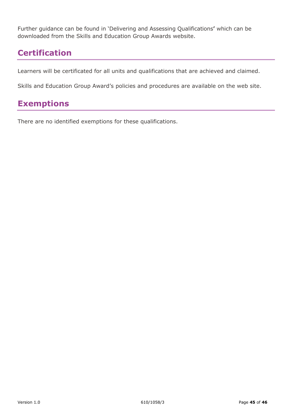Further guidance can be found in 'Delivering and Assessing Qualifications**'** which can be downloaded from the Skills and Education Group Awards website.

### <span id="page-44-0"></span>**Certification**

Learners will be certificated for all units and qualifications that are achieved and claimed.

Skills and Education Group Award's policies and procedures are available on the web site.

# <span id="page-44-1"></span>**Exemptions**

There are no identified exemptions for these qualifications.